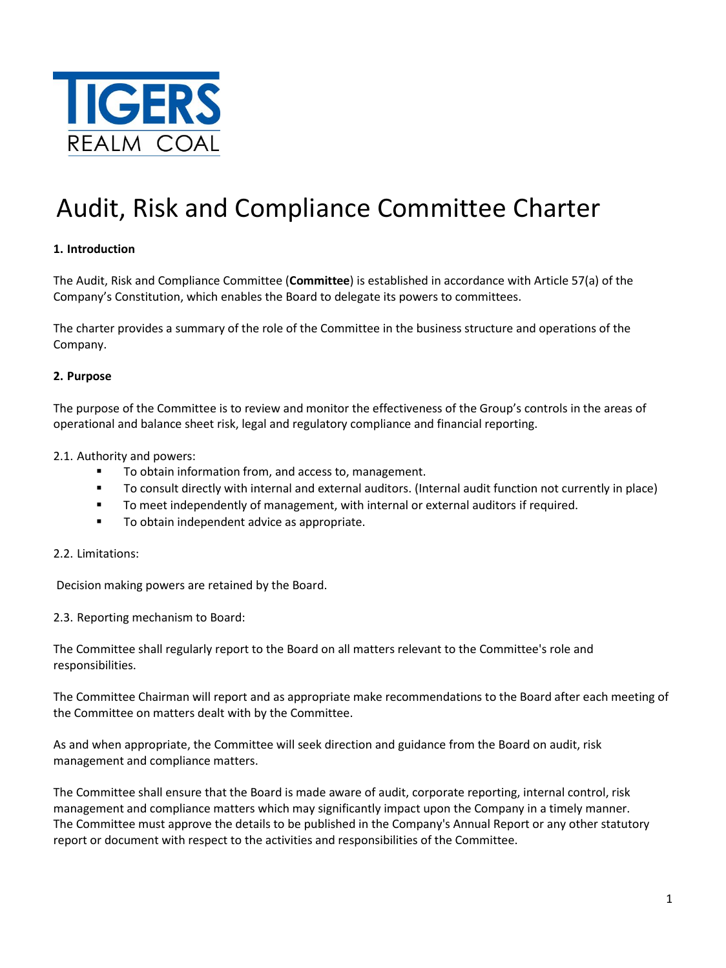

# Audit, Risk and Compliance Committee Charter

# **1. Introduction**

The Audit, Risk and Compliance Committee (**Committee**) is established in accordance with Article 57(a) of the Company's Constitution, which enables the Board to delegate its powers to committees.

The charter provides a summary of the role of the Committee in the business structure and operations of the Company.

## **2. Purpose**

The purpose of the Committee is to review and monitor the effectiveness of the Group's controls in the areas of operational and balance sheet risk, legal and regulatory compliance and financial reporting.

2.1. Authority and powers:

- To obtain information from, and access to, management.
- To consult directly with internal and external auditors. (Internal audit function not currently in place)
- To meet independently of management, with internal or external auditors if required.
- **To obtain independent advice as appropriate.**

## 2.2. Limitations:

Decision making powers are retained by the Board.

2.3. Reporting mechanism to Board:

The Committee shall regularly report to the Board on all matters relevant to the Committee's role and responsibilities.

The Committee Chairman will report and as appropriate make recommendations to the Board after each meeting of the Committee on matters dealt with by the Committee.

As and when appropriate, the Committee will seek direction and guidance from the Board on audit, risk management and compliance matters.

The Committee shall ensure that the Board is made aware of audit, corporate reporting, internal control, risk management and compliance matters which may significantly impact upon the Company in a timely manner. The Committee must approve the details to be published in the Company's Annual Report or any other statutory report or document with respect to the activities and responsibilities of the Committee.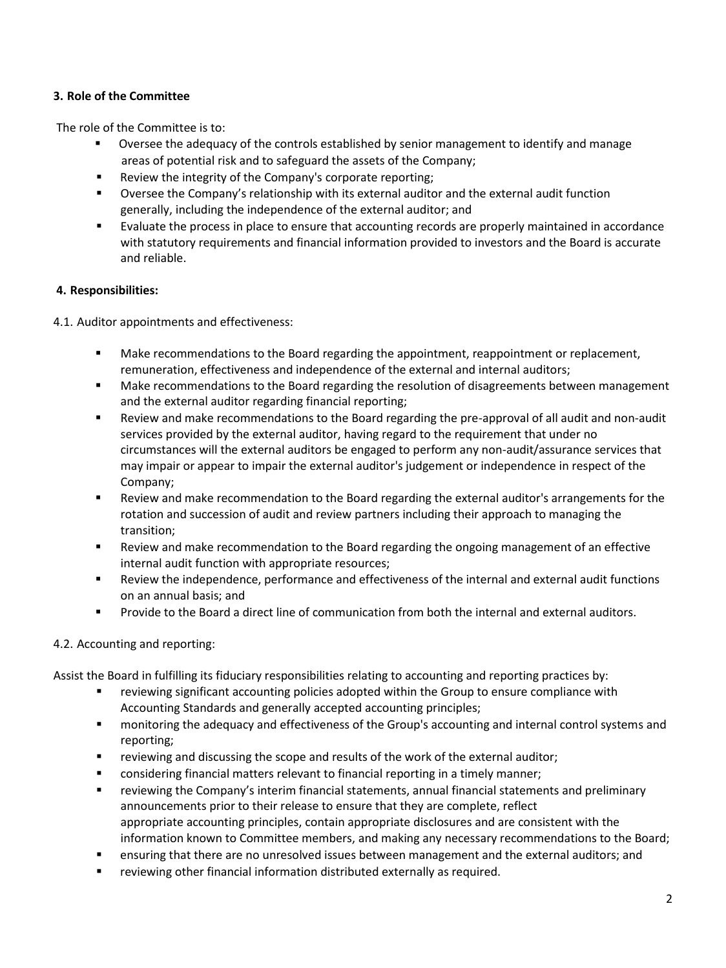# **3. Role of the Committee**

The role of the Committee is to:

- Oversee the adequacy of the controls established by senior management to identify and manage areas of potential risk and to safeguard the assets of the Company;
- **EXECT** Review the integrity of the Company's corporate reporting;
- Oversee the Company's relationship with its external auditor and the external audit function generally, including the independence of the external auditor; and
- Evaluate the process in place to ensure that accounting records are properly maintained in accordance with statutory requirements and financial information provided to investors and the Board is accurate and reliable.

# **4. Responsibilities:**

4.1. Auditor appointments and effectiveness:

- Make recommendations to the Board regarding the appointment, reappointment or replacement, remuneration, effectiveness and independence of the external and internal auditors;
- Make recommendations to the Board regarding the resolution of disagreements between management and the external auditor regarding financial reporting;
- Review and make recommendations to the Board regarding the pre-approval of all audit and non-audit services provided by the external auditor, having regard to the requirement that under no circumstances will the external auditors be engaged to perform any non-audit/assurance services that may impair or appear to impair the external auditor's judgement or independence in respect of the Company;
- Review and make recommendation to the Board regarding the external auditor's arrangements for the rotation and succession of audit and review partners including their approach to managing the transition;
- Review and make recommendation to the Board regarding the ongoing management of an effective internal audit function with appropriate resources;
- Review the independence, performance and effectiveness of the internal and external audit functions on an annual basis; and
- Provide to the Board a direct line of communication from both the internal and external auditors.

# 4.2. Accounting and reporting:

Assist the Board in fulfilling its fiduciary responsibilities relating to accounting and reporting practices by:

- **•** reviewing significant accounting policies adopted within the Group to ensure compliance with Accounting Standards and generally accepted accounting principles;
- monitoring the adequacy and effectiveness of the Group's accounting and internal control systems and reporting;
- reviewing and discussing the scope and results of the work of the external auditor;
- **EXED** considering financial matters relevant to financial reporting in a timely manner;
- reviewing the Company's interim financial statements, annual financial statements and preliminary announcements prior to their release to ensure that they are complete, reflect appropriate accounting principles, contain appropriate disclosures and are consistent with the information known to Committee members, and making any necessary recommendations to the Board;
- **EXECT** ensuring that there are no unresolved issues between management and the external auditors; and
- reviewing other financial information distributed externally as required.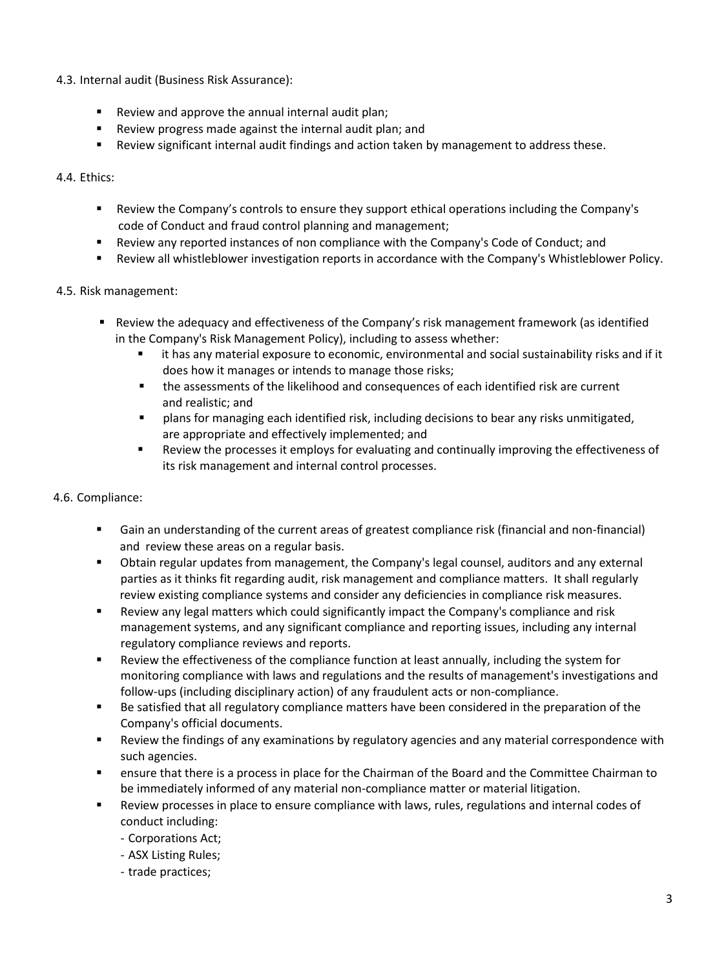- 4.3. Internal audit (Business Risk Assurance):
	- **Review and approve the annual internal audit plan;**
	- Review progress made against the internal audit plan; and
	- Review significant internal audit findings and action taken by management to address these.

4.4. Ethics:

- Review the Company's controls to ensure they support ethical operations including the Company's code of Conduct and fraud control planning and management;
- Review any reported instances of non compliance with the Company's Code of Conduct; and
- Review all whistleblower investigation reports in accordance with the Company's Whistleblower Policy.

## 4.5. Risk management:

- Review the adequacy and effectiveness of the Company's risk management framework (as identified in the Company's Risk Management Policy), including to assess whether:
	- it has any material exposure to economic, environmental and social sustainability risks and if it does how it manages or intends to manage those risks;
	- the assessments of the likelihood and consequences of each identified risk are current and realistic; and
	- **Phantif** plans for managing each identified risk, including decisions to bear any risks unmitigated, are appropriate and effectively implemented; and
	- Review the processes it employs for evaluating and continually improving the effectiveness of its risk management and internal control processes.

## 4.6. Compliance:

- Gain an understanding of the current areas of greatest compliance risk (financial and non-financial) and review these areas on a regular basis.
- Obtain regular updates from management, the Company's legal counsel, auditors and any external parties as it thinks fit regarding audit, risk management and compliance matters. It shall regularly review existing compliance systems and consider any deficiencies in compliance risk measures.
- Review any legal matters which could significantly impact the Company's compliance and risk management systems, and any significant compliance and reporting issues, including any internal regulatory compliance reviews and reports.
- Review the effectiveness of the compliance function at least annually, including the system for monitoring compliance with laws and regulations and the results of management's investigations and follow-ups (including disciplinary action) of any fraudulent acts or non-compliance.
- Be satisfied that all regulatory compliance matters have been considered in the preparation of the Company's official documents.
- Review the findings of any examinations by regulatory agencies and any material correspondence with such agencies.
- **EXECT** ensure that there is a process in place for the Chairman of the Board and the Committee Chairman to be immediately informed of any material non-compliance matter or material litigation.
- Review processes in place to ensure compliance with laws, rules, regulations and internal codes of conduct including:
	- Corporations Act;
	- ASX Listing Rules;
	- trade practices;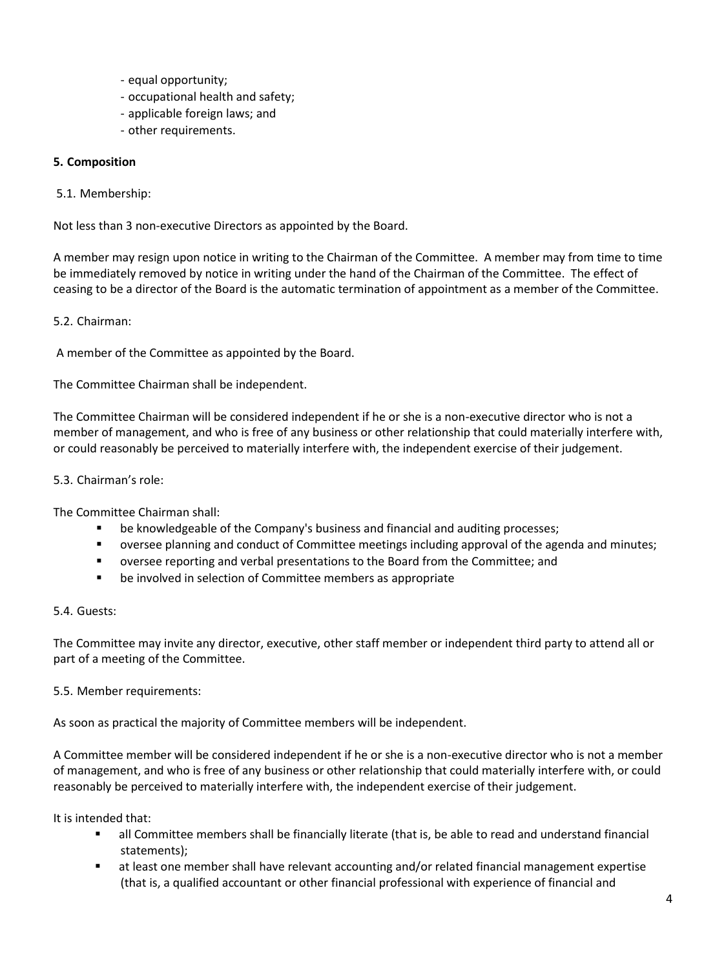- equal opportunity;
- occupational health and safety;
- applicable foreign laws; and
- other requirements.

## **5. Composition**

## 5.1. Membership:

Not less than 3 non-executive Directors as appointed by the Board.

A member may resign upon notice in writing to the Chairman of the Committee. A member may from time to time be immediately removed by notice in writing under the hand of the Chairman of the Committee. The effect of ceasing to be a director of the Board is the automatic termination of appointment as a member of the Committee.

# 5.2. Chairman:

A member of the Committee as appointed by the Board.

The Committee Chairman shall be independent.

The Committee Chairman will be considered independent if he or she is a non-executive director who is not a member of management, and who is free of any business or other relationship that could materially interfere with, or could reasonably be perceived to materially interfere with, the independent exercise of their judgement.

## 5.3. Chairman's role:

The Committee Chairman shall:

- be knowledgeable of the Company's business and financial and auditing processes;
- oversee planning and conduct of Committee meetings including approval of the agenda and minutes;
- oversee reporting and verbal presentations to the Board from the Committee; and
- be involved in selection of Committee members as appropriate

## 5.4. Guests:

The Committee may invite any director, executive, other staff member or independent third party to attend all or part of a meeting of the Committee.

## 5.5. Member requirements:

As soon as practical the majority of Committee members will be independent.

A Committee member will be considered independent if he or she is a non-executive director who is not a member of management, and who is free of any business or other relationship that could materially interfere with, or could reasonably be perceived to materially interfere with, the independent exercise of their judgement.

It is intended that:

- all Committee members shall be financially literate (that is, be able to read and understand financial statements);
- at least one member shall have relevant accounting and/or related financial management expertise (that is, a qualified accountant or other financial professional with experience of financial and